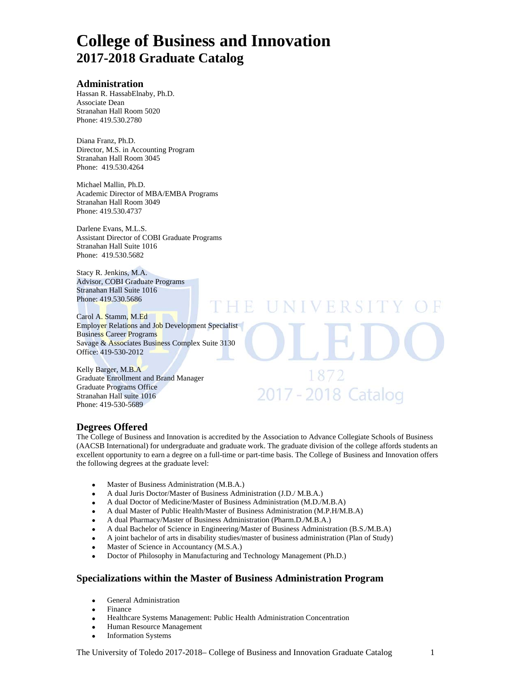# **College of Business and Innovation 2017-2018 Graduate Catalog**

#### **Administration**

Hassan R. HassabElnaby, Ph.D. Associate Dean Stranahan Hall Room 5020Phone: 419.530.2780

Diana Franz, Ph.D. Director, M.S. in Accounting Program Stranahan Hall Room 3045 Phone: 419.530.4264

Michael Mallin, Ph.D. Academic Director of MBA/EMBA Programs Stranahan Hall Room 3049 Phone: 419.530.4737

Darlene Evans, M.L.S. Assistant Director of COBI Graduate Programs Stranahan Hall Suite 1016 Phone: 419.530.5682

Stacy R. Jenkins, M.A. Advisor, COBI Graduate Programs Stranahan Hall Suite 1016 Phone: 419.530.5686

Carol A. Stamm, M.Ed Employer Relations and Job Development Specialist Business Career Programs Savage & Associates Business Complex Suite 3130 Office: 419-530-2012

Kelly Barger, M.B.A Graduate Enrollment and Brand Manager Graduate Programs Office Stranahan Hall suite 1016 Phone: 419-530-5689

## **Degrees Offered**

The College of Business and Innovation is accredited by the Association to Advance Collegiate Schools of Business (AACSB International) for undergraduate and graduate work. The graduate division of the college affords students an excellent opportunity to earn a degree on a full-time or part-time basis. The College of Business and Innovation offers the following degrees at the graduate level:

 $H$ 

Ħ

NIVERSI

1872

2017 - 2018 Catalog

- Master of Business Administration (M.B.A.)
- A dual Juris Doctor/Master of Business Administration (J.D./ M.B.A.)
- A dual Doctor of Medicine/Master of Business Administration (M.D./M.B.A)
- A dual Master of Public Health/Master of Business Administration (M.P.H/M.B.A)
- A dual Pharmacy/Master of Business Administration (Pharm.D./M.B.A.)
- A dual Bachelor of Science in Engineering/Master of Business Administration (B.S./M.B.A)
- A joint bachelor of arts in disability studies/master of business administration (Plan of Study)
- Master of Science in Accountancy (M.S.A.)
- Doctor of Philosophy in Manufacturing and Technology Management (Ph.D.)

## **Specializations within the Master of Business Administration Program**

- General Administration
- Finance
- Healthcare Systems Management: Public Health Administration Concentration
- Human Resource Management
- Information Systems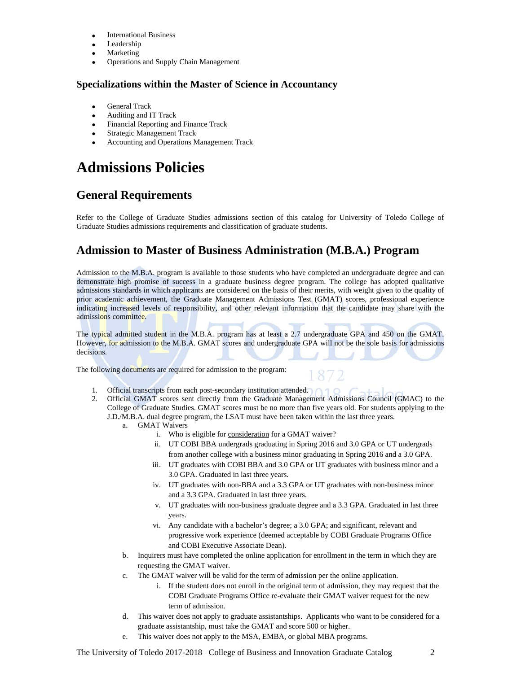- International Business
- Leadership
- Marketing
- Operations and Supply Chain Management

### **Specializations within the Master of Science in Accountancy**

- General Track
- Auditing and IT Track
- Financial Reporting and Finance Track
- Strategic Management Track
- Accounting and Operations Management Track

# **Admissions Policies**

# **General Requirements**

Refer to the College of Graduate Studies admissions section of this catalog for University of Toledo College of Graduate Studies admissions requirements and classification of graduate students.

## **Admission to Master of Business Administration (M.B.A.) Program**

Admission to the M.B.A. program is available to those students who have completed an undergraduate degree and can demonstrate high promise of success in a graduate business degree program. The college has adopted qualitative admissions standards in which applicants are considered on the basis of their merits, with weight given to the quality of prior academic achievement, the Graduate Management Admissions Test (GMAT) scores, professional experience indicating increased levels of responsibility, and other relevant information that the candidate may share with the admissions committee.

The typical admitted student in the M.B.A. program has at least a 2.7 undergraduate GPA and 450 on the GMAT. However, for admission to the M.B.A. GMAT scores and undergraduate GPA will not be the sole basis for admissions decisions.

The following documents are required for admission to the program:

- 1. Official transcripts from each post-secondary institution attended.
- 2. Official GMAT scores sent directly from the Graduate Management Admissions Council (GMAC) to the College of Graduate Studies. GMAT scores must be no more than five years old. For students applying to the J.D./M.B.A. dual degree program, the LSAT must have been taken within the last three years.
	- a. GMAT Waivers
		- i. Who is eligible for consideration for a GMAT waiver?
		- ii. UT COBI BBA undergrads graduating in Spring 2016 and 3.0 GPA or UT undergrads from another college with a business minor graduating in Spring 2016 and a 3.0 GPA.
		- iii. UT graduates with COBI BBA and 3.0 GPA or UT graduates with business minor and a 3.0 GPA. Graduated in last three years.
		- iv. UT graduates with non-BBA and a 3.3 GPA or UT graduates with non-business minor and a 3.3 GPA. Graduated in last three years.
		- v. UT graduates with non-business graduate degree and a 3.3 GPA. Graduated in last three years.
		- vi. Any candidate with a bachelor's degree; a 3.0 GPA; and significant, relevant and progressive work experience (deemed acceptable by COBI Graduate Programs Office and COBI Executive Associate Dean).
	- b. Inquirers must have completed the online application for enrollment in the term in which they are requesting the GMAT waiver.
	- c. The GMAT waiver will be valid for the term of admission per the online application.
		- i. If the student does not enroll in the original term of admission, they may request that the COBI Graduate Programs Office re-evaluate their GMAT waiver request for the new term of admission.
	- d. This waiver does not apply to graduate assistantships. Applicants who want to be considered for a graduate assistantship, must take the GMAT and score 500 or higher.
	- e. This waiver does not apply to the MSA, EMBA, or global MBA programs.

The University of Toledo 2017-2018– College of Business and Innovation Graduate Catalog 2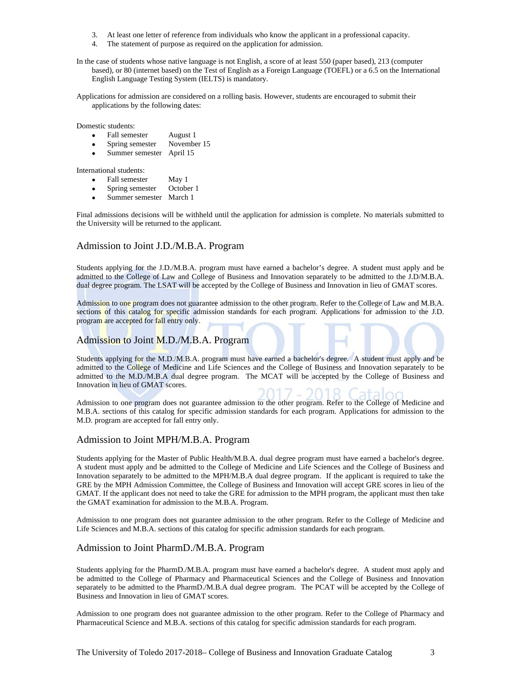- 3. At least one letter of reference from individuals who know the applicant in a professional capacity.
- 4. The statement of purpose as required on the application for admission.

In the case of students whose native language is not English, a score of at least 550 (paper based), 213 (computer based), or 80 (internet based) on the Test of English as a Foreign Language (TOEFL) or a 6.5 on the International English Language Testing System (IELTS) is mandatory.

Applications for admission are considered on a rolling basis. However, students are encouraged to submit their applications by the following dates:

Domestic students:

- Fall semester August 1
- Spring semester November 15
- Summer semester April 15

International students:

- Fall semester May 1
- Spring semester October 1
- Summer semester March 1

Final admissions decisions will be withheld until the application for admission is complete. No materials submitted to the University will be returned to the applicant.

#### Admission to Joint J.D./M.B.A. Program

Students applying for the J.D./M.B.A. program must have earned a bachelor's degree. A student must apply and be admitted to the College of Law and College of Business and Innovation separately to be admitted to the J.D/M.B.A. dual degree program. The LSAT will be accepted by the College of Business and Innovation in lieu of GMAT scores.

Admission to one program does not guarantee admission to the other program. Refer to the College of Law and M.B.A. sections of this catalog for specific admission standards for each program. Applications for admission to the J.D. program are accepted for fall entry only.

#### Admission to Joint M.D./M.B.A. Program

Students applying for the M.D./M.B.A. program must have earned a bachelor's degree. A student must apply and be admitted to the College of Medicine and Life Sciences and the College of Business and Innovation separately to be admitted to the M.D./M.B.A dual degree program. The MCAT will be accepted by the College of Business and Innovation in lieu of GMAT scores.

Admission to one program does not guarantee admission to the other program. Refer to the College of Medicine and M.B.A. sections of this catalog for specific admission standards for each program. Applications for admission to the M.D. program are accepted for fall entry only.

#### Admission to Joint MPH/M.B.A. Program

Students applying for the Master of Public Health/M.B.A. dual degree program must have earned a bachelor's degree. A student must apply and be admitted to the College of Medicine and Life Sciences and the College of Business and Innovation separately to be admitted to the MPH/M.B.A dual degree program. If the applicant is required to take the GRE by the MPH Admission Committee, the College of Business and Innovation will accept GRE scores in lieu of the GMAT. If the applicant does not need to take the GRE for admission to the MPH program, the applicant must then take the GMAT examination for admission to the M.B.A. Program.

Admission to one program does not guarantee admission to the other program. Refer to the College of Medicine and Life Sciences and M.B.A. sections of this catalog for specific admission standards for each program.

#### Admission to Joint PharmD./M.B.A. Program

Students applying for the PharmD./M.B.A. program must have earned a bachelor's degree. A student must apply and be admitted to the College of Pharmacy and Pharmaceutical Sciences and the College of Business and Innovation separately to be admitted to the PharmD./M.B.A dual degree program. The PCAT will be accepted by the College of Business and Innovation in lieu of GMAT scores.

Admission to one program does not guarantee admission to the other program. Refer to the College of Pharmacy and Pharmaceutical Science and M.B.A. sections of this catalog for specific admission standards for each program.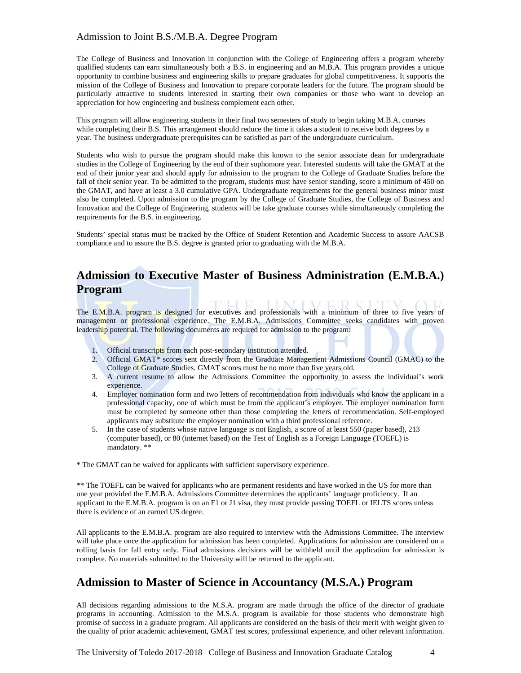## Admission to Joint B.S./M.B.A. Degree Program

The College of Business and Innovation in conjunction with the College of Engineering offers a program whereby qualified students can earn simultaneously both a B.S. in engineering and an M.B.A. This program provides a unique opportunity to combine business and engineering skills to prepare graduates for global competitiveness. It supports the mission of the College of Business and Innovation to prepare corporate leaders for the future. The program should be particularly attractive to students interested in starting their own companies or those who want to develop an appreciation for how engineering and business complement each other.

This program will allow engineering students in their final two semesters of study to begin taking M.B.A. courses while completing their B.S. This arrangement should reduce the time it takes a student to receive both degrees by a year. The business undergraduate prerequisites can be satisfied as part of the undergraduate curriculum.

Students who wish to pursue the program should make this known to the senior associate dean for undergraduate studies in the College of Engineering by the end of their sophomore year. Interested students will take the GMAT at the end of their junior year and should apply for admission to the program to the College of Graduate Studies before the fall of their senior year. To be admitted to the program, students must have senior standing, score a minimum of 450 on the GMAT, and have at least a 3.0 cumulative GPA. Undergraduate requirements for the general business minor must also be completed. Upon admission to the program by the College of Graduate Studies, the College of Business and Innovation and the College of Engineering, students will be take graduate courses while simultaneously completing the requirements for the B.S. in engineering.

Students' special status must be tracked by the Office of Student Retention and Academic Success to assure AACSB compliance and to assure the B.S. degree is granted prior to graduating with the M.B.A.

# **Admission to Executive Master of Business Administration (E.M.B.A.) Program**

The E.M.B.A. program is designed for executives and professionals with a minimum of three to five years of management or professional experience. The E.M.B.A. Admissions Committee seeks candidates with proven leadership potential. The following documents are required for admission to the program:

- 1. Official transcripts from each post-secondary institution attended.
- 2. Official GMAT\* scores sent directly from the Graduate Management Admissions Council (GMAC) to the College of Graduate Studies. GMAT scores must be no more than five years old.
- 3. A current resume to allow the Admissions Committee the opportunity to assess the individual's work experience.
- 4. Employer nomination form and two letters of recommendation from individuals who know the applicant in a professional capacity, one of which must be from the applicant's employer. The employer nomination form must be completed by someone other than those completing the letters of recommendation. Self-employed applicants may substitute the employer nomination with a third professional reference.
- 5. In the case of students whose native language is not English, a score of at least 550 (paper based), 213 (computer based), or 80 (internet based) on the Test of English as a Foreign Language (TOEFL) is mandatory. \*\*

\* The GMAT can be waived for applicants with sufficient supervisory experience.

\*\* The TOEFL can be waived for applicants who are permanent residents and have worked in the US for more than one year provided the E.M.B.A. Admissions Committee determines the applicants' language proficiency. If an applicant to the E.M.B.A. program is on an F1 or J1 visa, they must provide passing TOEFL or IELTS scores unless there is evidence of an earned US degree.

All applicants to the E.M.B.A. program are also required to interview with the Admissions Committee. The interview will take place once the application for admission has been completed. Applications for admission are considered on a rolling basis for fall entry only. Final admissions decisions will be withheld until the application for admission is complete. No materials submitted to the University will be returned to the applicant.

## **Admission to Master of Science in Accountancy (M.S.A.) Program**

All decisions regarding admissions to the M.S.A. program are made through the office of the director of graduate programs in accounting. Admission to the M.S.A. program is available for those students who demonstrate high promise of success in a graduate program. All applicants are considered on the basis of their merit with weight given to the quality of prior academic achievement, GMAT test scores, professional experience, and other relevant information.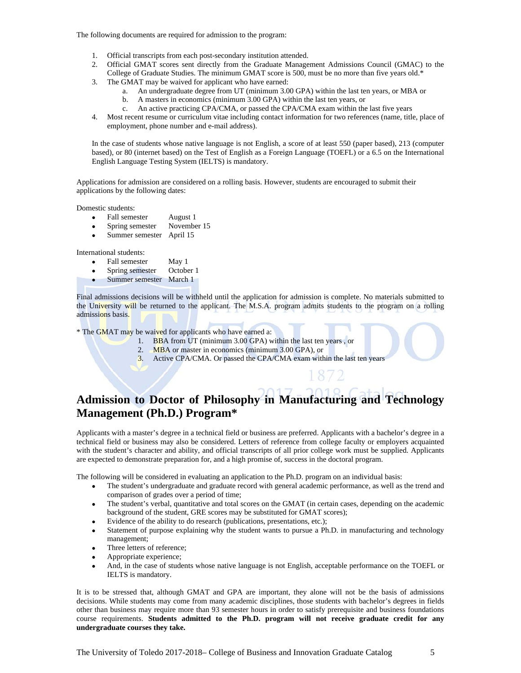The following documents are required for admission to the program:

- 1. Official transcripts from each post-secondary institution attended.
- 2. Official GMAT scores sent directly from the Graduate Management Admissions Council (GMAC) to the
- College of Graduate Studies. The minimum GMAT score is 500, must be no more than five years old.\*
- 3. The GMAT may be waived for applicant who have earned:
	- a. An undergraduate degree from UT (minimum 3.00 GPA) within the last ten years, or MBA or
	- b. A masters in economics (minimum 3.00 GPA) within the last ten years, or
	- c. An active practicing CPA/CMA, or passed the CPA/CMA exam within the last five years
- 4. Most recent resume or curriculum vitae including contact information for two references (name, title, place of employment, phone number and e-mail address).

In the case of students whose native language is not English, a score of at least 550 (paper based), 213 (computer based), or 80 (internet based) on the Test of English as a Foreign Language (TOEFL) or a 6.5 on the International English Language Testing System (IELTS) is mandatory.

Applications for admission are considered on a rolling basis. However, students are encouraged to submit their applications by the following dates:

Domestic students:

- Fall semester August 1
- Spring semester November 15
- Summer semester April 15

International students:

- Fall semester May 1<br>Spring semester October 1
- Spring semester
- Summer semester March 1

Final admissions decisions will be withheld until the application for admission is complete. No materials submitted to the University will be returned to the applicant. The M.S.A. program admits students to the program on a rolling admissions basis.

\* The GMAT may be waived for applicants who have earned a:

- 1. BBA from UT (minimum 3.00 GPA) within the last ten years , or
	- 2. MBA or master in economics (minimum 3.00 GPA), or
	- 3. Active CPA/CMA. Or passed the CPA/CMA exam within the last ten years

# **Admission to Doctor of Philosophy in Manufacturing and Technology Management (Ph.D.) Program\***

Applicants with a master's degree in a technical field or business are preferred. Applicants with a bachelor's degree in a technical field or business may also be considered. Letters of reference from college faculty or employers acquainted with the student's character and ability, and official transcripts of all prior college work must be supplied. Applicants are expected to demonstrate preparation for, and a high promise of, success in the doctoral program.

The following will be considered in evaluating an application to the Ph.D. program on an individual basis:

- The student's undergraduate and graduate record with general academic performance, as well as the trend and comparison of grades over a period of time;
- The student's verbal, quantitative and total scores on the GMAT (in certain cases, depending on the academic background of the student, GRE scores may be substituted for GMAT scores);
- Evidence of the ability to do research (publications, presentations, etc.);
- Statement of purpose explaining why the student wants to pursue a Ph.D. in manufacturing and technology management;
- Three letters of reference;
- Appropriate experience;
- And, in the case of students whose native language is not English, acceptable performance on the TOEFL or IELTS is mandatory.

It is to be stressed that, although GMAT and GPA are important, they alone will not be the basis of admissions decisions. While students may come from many academic disciplines, those students with bachelor's degrees in fields other than business may require more than 93 semester hours in order to satisfy prerequisite and business foundations course requirements. **Students admitted to the Ph.D. program will not receive graduate credit for any undergraduate courses they take.**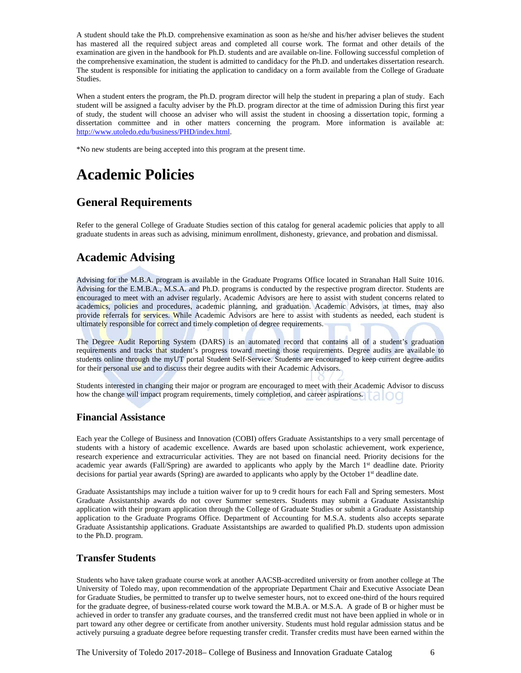A student should take the Ph.D. comprehensive examination as soon as he/she and his/her adviser believes the student has mastered all the required subject areas and completed all course work. The format and other details of the examination are given in the handbook for Ph.D. students and are available on-line. Following successful completion of the comprehensive examination, the student is admitted to candidacy for the Ph.D. and undertakes dissertation research. The student is responsible for initiating the application to candidacy on a form available from the College of Graduate Studies.

When a student enters the program, the Ph.D. program director will help the student in preparing a plan of study. Each student will be assigned a faculty adviser by the Ph.D. program director at the time of admission During this first year of study, the student will choose an adviser who will assist the student in choosing a dissertation topic, forming a dissertation committee and in other matters concerning the program. More information is available at: http://www.utoledo.edu/business/PHD/index.html.

\*No new students are being accepted into this program at the present time.

# **Academic Policies**

# **General Requirements**

Refer to the general College of Graduate Studies section of this catalog for general academic policies that apply to all graduate students in areas such as advising, minimum enrollment, dishonesty, grievance, and probation and dismissal.

## **Academic Advising**

Advising for the M.B.A. program is available in the Graduate Programs Office located in Stranahan Hall Suite 1016. Advising for the E.M.B.A., M.S.A. and Ph.D. programs is conducted by the respective program director. Students are encouraged to meet with an adviser regularly. Academic Advisors are here to assist with student concerns related to academics, policies and procedures, academic planning, and graduation. Academic Advisors, at times, may also provide referrals for services. While Academic Advisors are here to assist with students as needed, each student is ultimately responsible for correct and timely completion of degree requirements.

The Degree Audit Reporting System (DARS) is an automated record that contains all of a student's graduation requirements and tracks that student's progress toward meeting those requirements. Degree audits are available to students online through the myUT portal Student Self-Service. Students are encouraged to keep current degree audits for their personal use and to discuss their degree audits with their Academic Advisors.

Students interested in changing their major or program are encouraged to meet with their Academic Advisor to discuss how the change will impact program requirements, timely completion, and career aspirations.

## **Financial Assistance**

Each year the College of Business and Innovation (COBI) offers Graduate Assistantships to a very small percentage of students with a history of academic excellence. Awards are based upon scholastic achievement, work experience, research experience and extracurricular activities. They are not based on financial need. Priority decisions for the academic year awards (Fall/Spring) are awarded to applicants who apply by the March 1<sup>st</sup> deadline date. Priority decisions for partial year awards (Spring) are awarded to applicants who apply by the October 1<sup>st</sup> deadline date.

Graduate Assistantships may include a tuition waiver for up to 9 credit hours for each Fall and Spring semesters. Most Graduate Assistantship awards do not cover Summer semesters. Students may submit a Graduate Assistantship application with their program application through the College of Graduate Studies or submit a Graduate Assistantship application to the Graduate Programs Office. Department of Accounting for M.S.A. students also accepts separate Graduate Assistantship applications. Graduate Assistantships are awarded to qualified Ph.D. students upon admission to the Ph.D. program.

### **Transfer Students**

Students who have taken graduate course work at another AACSB-accredited university or from another college at The University of Toledo may, upon recommendation of the appropriate Department Chair and Executive Associate Dean for Graduate Studies, be permitted to transfer up to twelve semester hours, not to exceed one-third of the hours required for the graduate degree, of business-related course work toward the M.B.A. or M.S.A. A grade of B or higher must be achieved in order to transfer any graduate courses, and the transferred credit must not have been applied in whole or in part toward any other degree or certificate from another university. Students must hold regular admission status and be actively pursuing a graduate degree before requesting transfer credit. Transfer credits must have been earned within the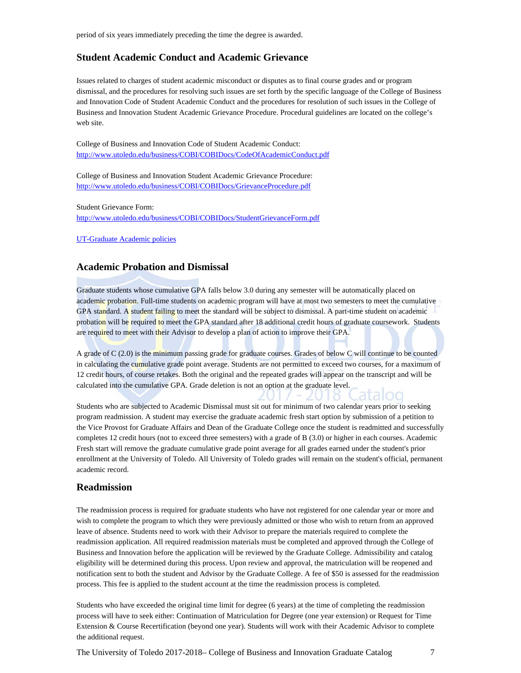period of six years immediately preceding the time the degree is awarded.

#### **Student Academic Conduct and Academic Grievance**

Issues related to charges of student academic misconduct or disputes as to final course grades and or program dismissal, and the procedures for resolving such issues are set forth by the specific language of the College of Business and Innovation Code of Student Academic Conduct and the procedures for resolution of such issues in the College of Business and Innovation Student Academic Grievance Procedure. Procedural guidelines are located on the college's web site.

College of Business and Innovation Code of Student Academic Conduct: http://www.utoledo.edu/business/COBI/COBIDocs/CodeOfAcademicConduct.pdf

College of Business and Innovation Student Academic Grievance Procedure: http://www.utoledo.edu/business/COBI/COBIDocs/GrievanceProcedure.pdf

Student Grievance Form:

http://www.utoledo.edu/business/COBI/COBIDocs/StudentGrievanceForm.pdf

UT-Graduate Academic policies

### **Academic Probation and Dismissal**

Graduate students whose cumulative GPA falls below 3.0 during any semester will be automatically placed on academic probation. Full-time students on academic program will have at most two semesters to meet the cumulative GPA standard. A student failing to meet the standard will be subject to dismissal. A part-time student on academic probation will be required to meet the GPA standard after 18 additional credit hours of graduate coursework. Students are required to meet with their Advisor to develop a plan of action to improve their GPA.

A grade of C (2.0) is the minimum passing grade for graduate courses. Grades of below C will continue to be counted in calculating the cumulative grade point average. Students are not permitted to exceed two courses, for a maximum of 12 credit hours, of course retakes. Both the original and the repeated grades will appear on the transcript and will be calculated into the cumulative GPA. Grade deletion is not an option at the graduate level.

Students who are subjected to Academic Dismissal must sit out for minimum of two calendar years prior to seeking program readmission. A student may exercise the graduate academic fresh start option by submission of a petition to the Vice Provost for Graduate Affairs and Dean of the Graduate College once the student is readmitted and successfully completes 12 credit hours (not to exceed three semesters) with a grade of B (3.0) or higher in each courses. Academic Fresh start will remove the graduate cumulative grade point average for all grades earned under the student's prior enrollment at the University of Toledo. All University of Toledo grades will remain on the student's official, permanent academic record.

#### **Readmission**

The readmission process is required for graduate students who have not registered for one calendar year or more and wish to complete the program to which they were previously admitted or those who wish to return from an approved leave of absence. Students need to work with their Advisor to prepare the materials required to complete the readmission application. All required readmission materials must be completed and approved through the College of Business and Innovation before the application will be reviewed by the Graduate College. Admissibility and catalog eligibility will be determined during this process. Upon review and approval, the matriculation will be reopened and notification sent to both the student and Advisor by the Graduate College. A fee of \$50 is assessed for the readmission process. This fee is applied to the student account at the time the readmission process is completed.

Students who have exceeded the original time limit for degree (6 years) at the time of completing the readmission process will have to seek either: Continuation of Matriculation for Degree (one year extension) or Request for Time Extension & Course Recertification (beyond one year). Students will work with their Academic Advisor to complete the additional request.

The University of Toledo 2017-2018– College of Business and Innovation Graduate Catalog 7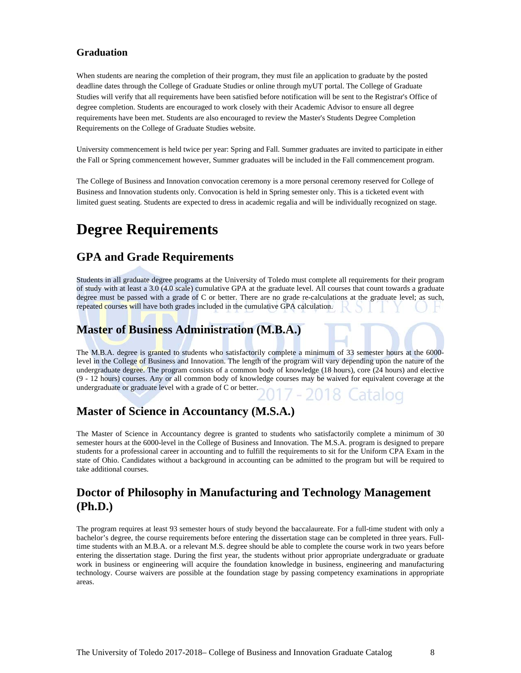## **Graduation**

When students are nearing the completion of their program, they must file an application to graduate by the posted deadline dates through the College of Graduate Studies or online through myUT portal. The College of Graduate Studies will verify that all requirements have been satisfied before notification will be sent to the Registrar's Office of degree completion. Students are encouraged to work closely with their Academic Advisor to ensure all degree requirements have been met. Students are also encouraged to review the Master's Students Degree Completion Requirements on the College of Graduate Studies website.

University commencement is held twice per year: Spring and Fall. Summer graduates are invited to participate in either the Fall or Spring commencement however, Summer graduates will be included in the Fall commencement program.

The College of Business and Innovation convocation ceremony is a more personal ceremony reserved for College of Business and Innovation students only. Convocation is held in Spring semester only. This is a ticketed event with limited guest seating. Students are expected to dress in academic regalia and will be individually recognized on stage.

# **Degree Requirements**

## **GPA and Grade Requirements**

Students in all graduate degree programs at the University of Toledo must complete all requirements for their program of study with at least a 3.0 (4.0 scale) cumulative GPA at the graduate level. All courses that count towards a graduate degree must be passed with a grade of C or better. There are no grade re-calculations at the graduate level; as such, repeated courses will have both grades included in the cumulative GPA calculation.

# **Master of Business Administration (M.B.A.)**

The M.B.A. degree is granted to students who satisfactorily complete a minimum of 33 semester hours at the 6000level in the College of Business and Innovation. The length of the program will vary depending upon the nature of the undergraduate degree. The program consists of a common body of knowledge (18 hours), core (24 hours) and elective (9 - 12 hours) courses. Any or all common body of knowledge courses may be waived for equivalent coverage at the undergraduate or graduate level with a grade of C or better.

## **Master of Science in Accountancy (M.S.A.)**

The Master of Science in Accountancy degree is granted to students who satisfactorily complete a minimum of 30 semester hours at the 6000-level in the College of Business and Innovation. The M.S.A. program is designed to prepare students for a professional career in accounting and to fulfill the requirements to sit for the Uniform CPA Exam in the state of Ohio. Candidates without a background in accounting can be admitted to the program but will be required to take additional courses.

# **Doctor of Philosophy in Manufacturing and Technology Management (Ph.D.)**

The program requires at least 93 semester hours of study beyond the baccalaureate. For a full-time student with only a bachelor's degree, the course requirements before entering the dissertation stage can be completed in three years. Fulltime students with an M.B.A. or a relevant M.S. degree should be able to complete the course work in two years before entering the dissertation stage. During the first year, the students without prior appropriate undergraduate or graduate work in business or engineering will acquire the foundation knowledge in business, engineering and manufacturing technology. Course waivers are possible at the foundation stage by passing competency examinations in appropriate areas.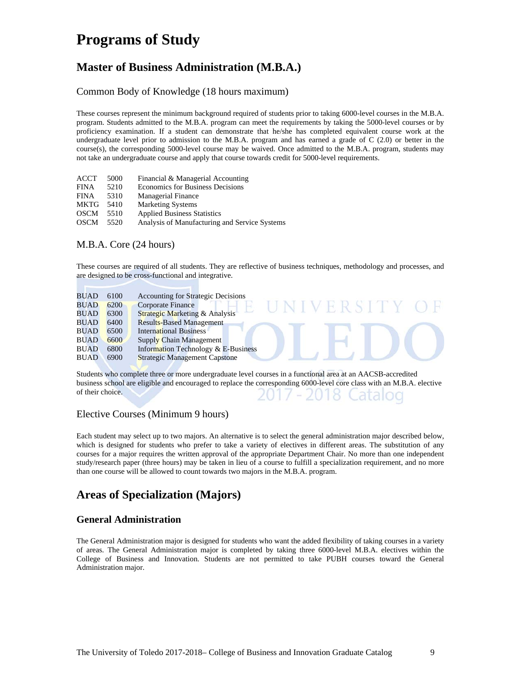# **Programs of Study**

# **Master of Business Administration (M.B.A.)**

## Common Body of Knowledge (18 hours maximum)

These courses represent the minimum background required of students prior to taking 6000-level courses in the M.B.A. program. Students admitted to the M.B.A. program can meet the requirements by taking the 5000-level courses or by proficiency examination. If a student can demonstrate that he/she has completed equivalent course work at the undergraduate level prior to admission to the M.B.A. program and has earned a grade of C (2.0) or better in the course(s), the corresponding 5000-level course may be waived. Once admitted to the M.B.A. program, students may not take an undergraduate course and apply that course towards credit for 5000-level requirements.

| ACCT        | 5000 | Financial & Managerial Accounting             |
|-------------|------|-----------------------------------------------|
| <b>FINA</b> | 5210 | Economics for Business Decisions              |
| <b>FINA</b> | 5310 | <b>Managerial Finance</b>                     |
| <b>MKTG</b> | 5410 | <b>Marketing Systems</b>                      |
| <b>OSCM</b> | 5510 | <b>Applied Business Statistics</b>            |
| OSCM        | 5520 | Analysis of Manufacturing and Service Systems |

## M.B.A. Core (24 hours)

These courses are required of all students. They are reflective of business techniques, methodology and processes, and are designed to be cross-functional and integrative.



Students who complete three or more undergraduate level courses in a functional area at an AACSB-accredited business school are eligible and encouraged to replace the corresponding 6000-level core class with an M.B.A. elective of their choice.

## Elective Courses (Minimum 9 hours)

Each student may select up to two majors. An alternative is to select the general administration major described below, which is designed for students who prefer to take a variety of electives in different areas. The substitution of any courses for a major requires the written approval of the appropriate Department Chair. No more than one independent study/research paper (three hours) may be taken in lieu of a course to fulfill a specialization requirement, and no more than one course will be allowed to count towards two majors in the M.B.A. program.

# **Areas of Specialization (Majors)**

## **General Administration**

The General Administration major is designed for students who want the added flexibility of taking courses in a variety of areas. The General Administration major is completed by taking three 6000-level M.B.A. electives within the College of Business and Innovation. Students are not permitted to take PUBH courses toward the General Administration major.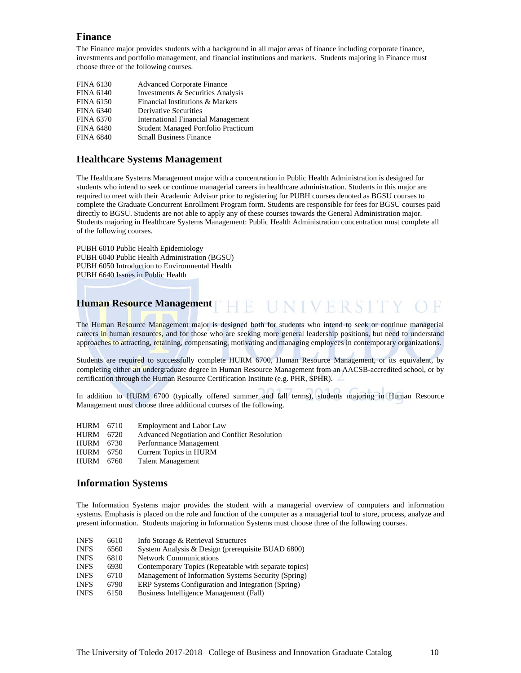### **Finance**

The Finance major provides students with a background in all major areas of finance including corporate finance, investments and portfolio management, and financial institutions and markets. Students majoring in Finance must choose three of the following courses.

| <b>FINA 6130</b> | <b>Advanced Corporate Finance</b>          |
|------------------|--------------------------------------------|
| <b>FINA 6140</b> | Investments & Securities Analysis          |
| <b>FINA 6150</b> | Financial Institutions & Markets           |
| <b>FINA 6340</b> | <b>Derivative Securities</b>               |
| <b>FINA 6370</b> | <b>International Financial Management</b>  |
| <b>FINA 6480</b> | <b>Student Managed Portfolio Practicum</b> |
| <b>FINA 6840</b> | <b>Small Business Finance</b>              |

## **Healthcare Systems Management**

The Healthcare Systems Management major with a concentration in Public Health Administration is designed for students who intend to seek or continue managerial careers in healthcare administration. Students in this major are required to meet with their Academic Advisor prior to registering for PUBH courses denoted as BGSU courses to complete the Graduate Concurrent Enrollment Program form. Students are responsible for fees for BGSU courses paid directly to BGSU. Students are not able to apply any of these courses towards the General Administration major. Students majoring in Healthcare Systems Management: Public Health Administration concentration must complete all of the following courses.

PUBH 6010 Public Health Epidemiology PUBH 6040 Public Health Administration (BGSU) PUBH 6050 Introduction to Environmental Health PUBH 6640 Issues in Public Health

# **Human Resource Management**

The Human Resource Management major is designed both for students who intend to seek or continue managerial careers in human resources, and for those who are seeking more general leadership positions, but need to understand approaches to attracting, retaining, compensating, motivating and managing employees in contemporary organizations.

Students are required to successfully complete HURM 6700, Human Resource Management, or its equivalent, by completing either an undergraduate degree in Human Resource Management from an AACSB-accredited school, or by certification through the Human Resource Certification Institute (e.g. PHR, SPHR).

In addition to HURM 6700 (typically offered summer and fall terms), students majoring in Human Resource Management must choose three additional courses of the following.

HURM 6710 Employment and Labor Law HURM 6720 Advanced Negotiation and Conflict Resolution HURM 6730 Performance Management<br>HURM 6750 Current Topics in HURM Current Topics in HURM HURM 6760 Talent Management

### **Information Systems**

The Information Systems major provides the student with a managerial overview of computers and information systems. Emphasis is placed on the role and function of the computer as a managerial tool to store, process, analyze and present information. Students majoring in Information Systems must choose three of the following courses.

| <b>INFS</b> | 6610 | Info Storage & Retrieval Structures                   |
|-------------|------|-------------------------------------------------------|
| <b>INFS</b> | 6560 | System Analysis & Design (prerequisite BUAD 6800)     |
| <b>INFS</b> | 6810 | <b>Network Communications</b>                         |
| <b>INFS</b> | 6930 | Contemporary Topics (Repeatable with separate topics) |
| <b>INFS</b> | 6710 | Management of Information Systems Security (Spring)   |
| <b>INFS</b> | 6790 | ERP Systems Configuration and Integration (Spring)    |
| <b>INFS</b> | 6150 | Business Intelligence Management (Fall)               |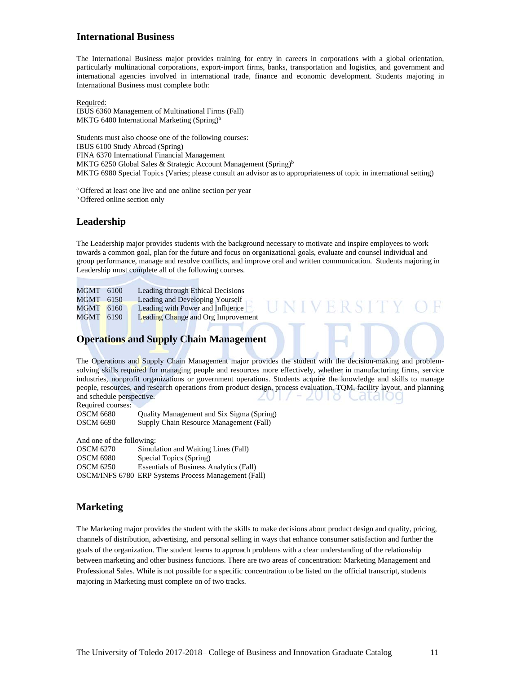### **International Business**

The International Business major provides training for entry in careers in corporations with a global orientation, particularly multinational corporations, export-import firms, banks, transportation and logistics, and government and international agencies involved in international trade, finance and economic development. Students majoring in International Business must complete both:

Required:

IBUS 6360 Management of Multinational Firms (Fall) MKTG 6400 International Marketing (Spring)<sup>b</sup>

Students must also choose one of the following courses: IBUS 6100 Study Abroad (Spring) FINA 6370 International Financial Management MKTG 6250 Global Sales & Strategic Account Management (Spring)<sup>b</sup> MKTG 6980 Special Topics (Varies; please consult an advisor as to appropriateness of topic in international setting)

<sup>a</sup> Offered at least one live and one online section per year  $\frac{b}{c}$  Offered online section only

## **Leadership**

The Leadership major provides students with the background necessary to motivate and inspire employees to work towards a common goal, plan for the future and focus on organizational goals, evaluate and counsel individual and group performance, manage and resolve conflicts, and improve oral and written communication. Students majoring in Leadership must complete all of the following courses.

**UNIVERSIT** 

| MGMT 6100        | Leading through Ethical Decisions         |
|------------------|-------------------------------------------|
| MGMT 6150        | Leading and Developing Yourself           |
| <b>MGMT</b> 6160 | Leading with Power and Influence          |
| <b>MGMT</b> 6190 | <b>Leading Change and Org Improvement</b> |

## **Operations and Supply Chain Management**

The Operations and Supply Chain Management major provides the student with the decision-making and problemsolving skills required for managing people and resources more effectively, whether in manufacturing firms, service industries, nonprofit organizations or government operations. Students acquire the knowledge and skills to manage people, resources, and research operations from product design, process evaluation, TQM, facility layout, and planning and schedule perspective.

Required courses: OSCM 6680 Quality Management and Six Sigma (Spring) OSCM 6690 Supply Chain Resource Management (Fall)

And one of the following:

| OSCM 6270        | Simulation and Waiting Lines (Fall)                  |
|------------------|------------------------------------------------------|
| <b>OSCM 6980</b> | Special Topics (Spring)                              |
| <b>OSCM 6250</b> | <b>Essentials of Business Analytics (Fall)</b>       |
|                  | OSCM/INFS 6780 ERP Systems Process Management (Fall) |

## **Marketing**

The Marketing major provides the student with the skills to make decisions about product design and quality, pricing, channels of distribution, advertising, and personal selling in ways that enhance consumer satisfaction and further the goals of the organization. The student learns to approach problems with a clear understanding of the relationship between marketing and other business functions. There are two areas of concentration: Marketing Management and Professional Sales. While is not possible for a specific concentration to be listed on the official transcript, students majoring in Marketing must complete on of two tracks.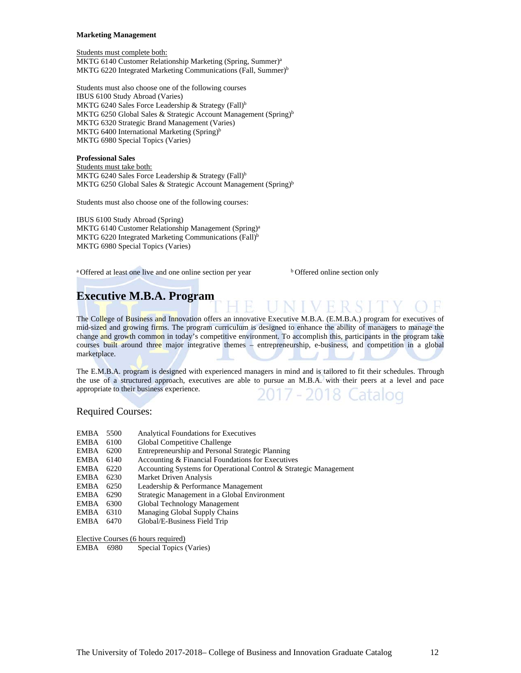#### **Marketing Management**

Students must complete both:

MKTG 6140 Customer Relationship Marketing (Spring, Summer)a MKTG 6220 Integrated Marketing Communications (Fall, Summer)<sup>b</sup>

Students must also choose one of the following courses IBUS 6100 Study Abroad (Varies) MKTG 6240 Sales Force Leadership & Strategy (Fall)<sup>b</sup> MKTG 6250 Global Sales & Strategic Account Management (Spring)<sup>b</sup> MKTG 6320 Strategic Brand Management (Varies) MKTG 6400 International Marketing  $(Spring)^b$ MKTG 6980 Special Topics (Varies)

#### **Professional Sales**

Students must take both: MKTG 6240 Sales Force Leadership & Strategy (Fall)<sup>b</sup> MKTG 6250 Global Sales & Strategic Account Management (Spring)<sup>b</sup>

Students must also choose one of the following courses:

IBUS 6100 Study Abroad (Spring) MKTG 6140 Customer Relationship Management (Spring)<sup>a</sup> MKTG 6220 Integrated Marketing Communications (Fall)<sup>b</sup> MKTG 6980 Special Topics (Varies)

<sup>a</sup> Offered at least one live and one online section per year b Offered online section only

# **Executive M.B.A. Program**

The College of Business and Innovation offers an innovative Executive M.B.A. (E.M.B.A.) program for executives of mid-sized and growing firms. The program curriculum is designed to enhance the ability of managers to manage the change and growth common in today's competitive environment. To accomplish this, participants in the program take courses built around three major integrative themes - entrepreneurship, e-business, and competition in a global marketplace.

The E.M.B.A. program is designed with experienced managers in mind and is tailored to fit their schedules. Through the use of a structured approach, executives are able to pursue an M.B.A. with their peers at a level and pace appropriate to their business experience. 17 - 2018 Catal

Required Courses:

- EMBA 5500 Analytical Foundations for Executives EMBA 6100 Global Competitive Challenge EMBA 6200 Entrepreneurship and Personal Strategic Planning EMBA 6140 Accounting & Financial Foundations for Executives EMBA 6220 Accounting Systems for Operational Control & Strategic Management EMBA 6230 Market Driven Analysis EMBA 6250 Leadership & Performance Management EMBA 6290 Strategic Management in a Global Environment EMBA 6300 Global Technology Management EMBA 6310 Managing Global Supply Chains<br>EMBA 6470 Global/E-Business Field Trip
- Global/E-Business Field Trip

Elective Courses (6 hours required)

EMBA 6980 Special Topics (Varies)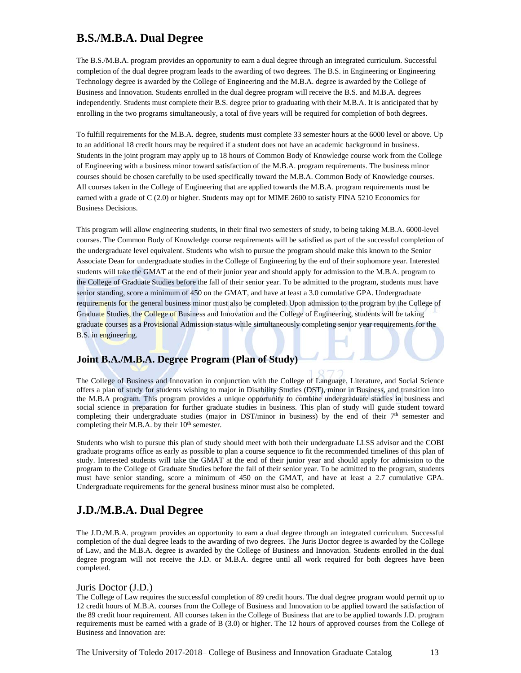# **B.S./M.B.A. Dual Degree**

The B.S./M.B.A. program provides an opportunity to earn a dual degree through an integrated curriculum. Successful completion of the dual degree program leads to the awarding of two degrees. The B.S. in Engineering or Engineering Technology degree is awarded by the College of Engineering and the M.B.A. degree is awarded by the College of Business and Innovation. Students enrolled in the dual degree program will receive the B.S. and M.B.A. degrees independently. Students must complete their B.S. degree prior to graduating with their M.B.A. It is anticipated that by enrolling in the two programs simultaneously, a total of five years will be required for completion of both degrees.

To fulfill requirements for the M.B.A. degree, students must complete 33 semester hours at the 6000 level or above. Up to an additional 18 credit hours may be required if a student does not have an academic background in business. Students in the joint program may apply up to 18 hours of Common Body of Knowledge course work from the College of Engineering with a business minor toward satisfaction of the M.B.A. program requirements. The business minor courses should be chosen carefully to be used specifically toward the M.B.A. Common Body of Knowledge courses. All courses taken in the College of Engineering that are applied towards the M.B.A. program requirements must be earned with a grade of C (2.0) or higher. Students may opt for MIME 2600 to satisfy FINA 5210 Economics for Business Decisions.

This program will allow engineering students, in their final two semesters of study, to being taking M.B.A. 6000-level courses. The Common Body of Knowledge course requirements will be satisfied as part of the successful completion of the undergraduate level equivalent. Students who wish to pursue the program should make this known to the Senior Associate Dean for undergraduate studies in the College of Engineering by the end of their sophomore year. Interested students will take the GMAT at the end of their junior year and should apply for admission to the M.B.A. program to the College of Graduate Studies before the fall of their senior year. To be admitted to the program, students must have senior standing, score a minimum of 450 on the GMAT, and have at least a 3.0 cumulative GPA. Undergraduate requirements for the general business minor must also be completed. Upon admission to the program by the College of Graduate Studies, the College of Business and Innovation and the College of Engineering, students will be taking graduate courses as a Provisional Admission status while simultaneously completing senior year requirements for the B.S. in engineering.

## **Joint B.A./M.B.A. Degree Program (Plan of Study)**

The College of Business and Innovation in conjunction with the College of Language, Literature, and Social Science offers a plan of study for students wishing to major in Disability Studies (DST), minor in Business, and transition into the M.B.A program. This program provides a unique opportunity to combine undergraduate studies in business and social science in preparation for further graduate studies in business. This plan of study will guide student toward completing their undergraduate studies (major in DST/minor in business) by the end of their  $7<sup>th</sup>$  semester and completing their M.B.A. by their  $10<sup>th</sup>$  semester.

Students who wish to pursue this plan of study should meet with both their undergraduate LLSS advisor and the COBI graduate programs office as early as possible to plan a course sequence to fit the recommended timelines of this plan of study. Interested students will take the GMAT at the end of their junior year and should apply for admission to the program to the College of Graduate Studies before the fall of their senior year. To be admitted to the program, students must have senior standing, score a minimum of 450 on the GMAT, and have at least a 2.7 cumulative GPA. Undergraduate requirements for the general business minor must also be completed.

## **J.D./M.B.A. Dual Degree**

The J.D./M.B.A. program provides an opportunity to earn a dual degree through an integrated curriculum. Successful completion of the dual degree leads to the awarding of two degrees. The Juris Doctor degree is awarded by the College of Law, and the M.B.A. degree is awarded by the College of Business and Innovation. Students enrolled in the dual degree program will not receive the J.D. or M.B.A. degree until all work required for both degrees have been completed.

#### Juris Doctor (J.D.)

The College of Law requires the successful completion of 89 credit hours. The dual degree program would permit up to 12 credit hours of M.B.A. courses from the College of Business and Innovation to be applied toward the satisfaction of the 89 credit hour requirement. All courses taken in the College of Business that are to be applied towards J.D. program requirements must be earned with a grade of B (3.0) or higher. The 12 hours of approved courses from the College of Business and Innovation are: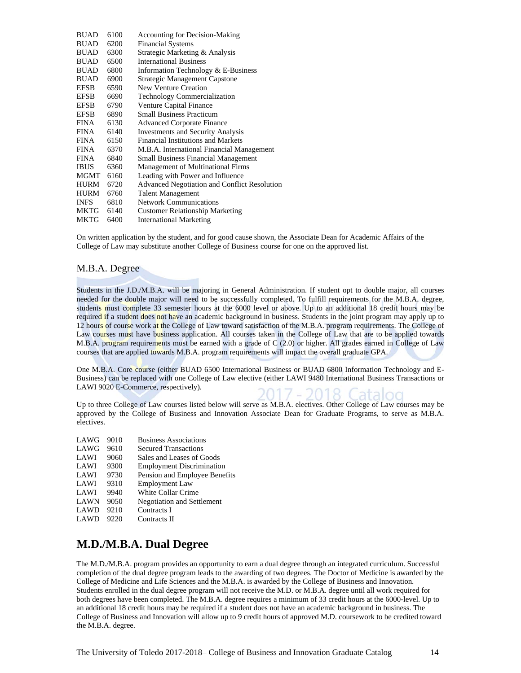| 6100 | <b>Accounting for Decision-Making</b>               |
|------|-----------------------------------------------------|
| 6200 | <b>Financial Systems</b>                            |
| 6300 | Strategic Marketing & Analysis                      |
| 6500 | <b>International Business</b>                       |
| 6800 | Information Technology & E-Business                 |
| 6900 | <b>Strategic Management Capstone</b>                |
| 6590 | New Venture Creation                                |
| 6690 | <b>Technology Commercialization</b>                 |
| 6790 | <b>Venture Capital Finance</b>                      |
| 6890 | <b>Small Business Practicum</b>                     |
| 6130 | <b>Advanced Corporate Finance</b>                   |
| 6140 | <b>Investments and Security Analysis</b>            |
| 6150 | <b>Financial Institutions and Markets</b>           |
| 6370 | M.B.A. International Financial Management           |
| 6840 | <b>Small Business Financial Management</b>          |
| 6360 | <b>Management of Multinational Firms</b>            |
| 6160 | Leading with Power and Influence                    |
| 6720 | <b>Advanced Negotiation and Conflict Resolution</b> |
| 6760 | <b>Talent Management</b>                            |
| 6810 | <b>Network Communications</b>                       |
| 6140 | <b>Customer Relationship Marketing</b>              |
| 6400 | <b>International Marketing</b>                      |
|      | MGMT<br>MKTG                                        |

On written application by the student, and for good cause shown, the Associate Dean for Academic Affairs of the College of Law may substitute another College of Business course for one on the approved list.

#### M.B.A. Degree

Students in the J.D./M.B.A. will be majoring in General Administration. If student opt to double major, all courses needed for the double major will need to be successfully completed. To fulfill requirements for the M.B.A. degree, students must complete 33 semester hours at the 6000 level or above. Up to an additional 18 credit hours may be required if a student does not have an academic background in business. Students in the joint program may apply up to 12 hours of course work at the College of Law toward satisfaction of the M.B.A. program requirements. The College of Law courses must have business application. All courses taken in the College of Law that are to be applied towards M.B.A. program requirements must be earned with a grade of C (2.0) or higher. All grades earned in College of Law courses that are applied towards M.B.A. program requirements will impact the overall graduate GPA.

One M.B.A. Core course (either BUAD 6500 International Business or BUAD 6800 Information Technology and E-Business) can be replaced with one College of Law elective (either LAWI 9480 International Business Transactions or LAWI 9020 E-Commerce, respectively).

Up to three College of Law courses listed below will serve as M.B.A. electives. Other College of Law courses may be approved by the College of Business and Innovation Associate Dean for Graduate Programs, to serve as M.B.A. electives.

| LAWG | 9010 | <b>Business Associations</b>      |
|------|------|-----------------------------------|
| LAWG | 9610 | <b>Secured Transactions</b>       |
| LAWI | 9060 | Sales and Leases of Goods         |
| LAWI | 9300 | <b>Employment Discrimination</b>  |
| LAWI | 9730 | Pension and Employee Benefits     |
| LAWI | 9310 | <b>Employment Law</b>             |
| LAWI | 9940 | <b>White Collar Crime</b>         |
| LAWN | 9050 | <b>Negotiation and Settlement</b> |
| LAWD | 9210 | Contracts I                       |
| LAWD | 9220 | Contracts II                      |

# **M.D./M.B.A. Dual Degree**

The M.D./M.B.A. program provides an opportunity to earn a dual degree through an integrated curriculum. Successful completion of the dual degree program leads to the awarding of two degrees. The Doctor of Medicine is awarded by the College of Medicine and Life Sciences and the M.B.A. is awarded by the College of Business and Innovation. Students enrolled in the dual degree program will not receive the M.D. or M.B.A. degree until all work required for both degrees have been completed. The M.B.A. degree requires a minimum of 33 credit hours at the 6000-level. Up to an additional 18 credit hours may be required if a student does not have an academic background in business. The College of Business and Innovation will allow up to 9 credit hours of approved M.D. coursework to be credited toward the M.B.A. degree.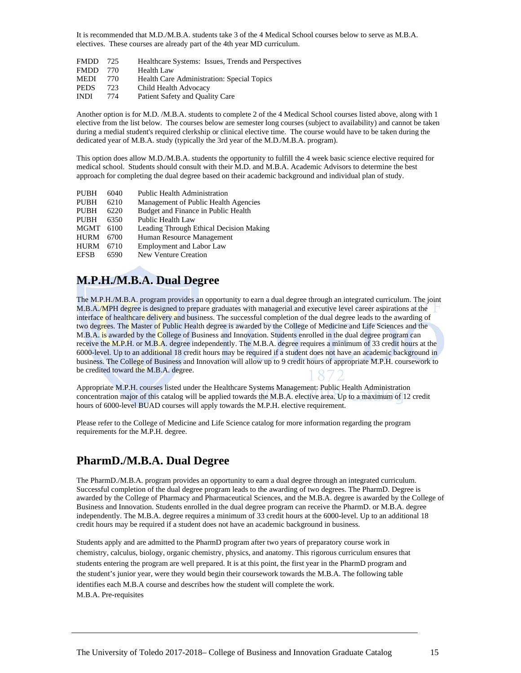It is recommended that M.D./M.B.A. students take 3 of the 4 Medical School courses below to serve as M.B.A. electives. These courses are already part of the 4th year MD curriculum.

| <b>FMDD</b> | -725 | Healthcare Systems: Issues, Trends and Perspectives |
|-------------|------|-----------------------------------------------------|
| <b>FMDD</b> | 770  | <b>Health Law</b>                                   |
| <b>MEDI</b> | 770. | Health Care Administration: Special Topics          |
| <b>PEDS</b> | 723  | Child Health Advocacy                               |
| <b>INDI</b> | 774  | Patient Safety and Quality Care                     |

Another option is for M.D. /M.B.A. students to complete 2 of the 4 Medical School courses listed above, along with 1 elective from the list below. The courses below are semester long courses (subject to availability) and cannot be taken during a medial student's required clerkship or clinical elective time. The course would have to be taken during the dedicated year of M.B.A. study (typically the 3rd year of the M.D./M.B.A. program).

This option does allow M.D./M.B.A. students the opportunity to fulfill the 4 week basic science elective required for medical school. Students should consult with their M.D. and M.B.A. Academic Advisors to determine the best approach for completing the dual degree based on their academic background and individual plan of study.

| <b>PUBH</b> | 6040 | <b>Public Health Administration</b>     |
|-------------|------|-----------------------------------------|
| <b>PUBH</b> | 6210 | Management of Public Health Agencies    |
| <b>PUBH</b> | 6220 | Budget and Finance in Public Health     |
| <b>PUBH</b> | 6350 | Public Health Law                       |
| <b>MGMT</b> | 6100 | Leading Through Ethical Decision Making |
| <b>HURM</b> | 6700 | Human Resource Management               |
| <b>HURM</b> | 6710 | <b>Employment and Labor Law</b>         |
| <b>EFSB</b> | 6590 | <b>New Venture Creation</b>             |

# **M.P.H./M.B.A. Dual Degree**

The M.P.H./M.B.A. program provides an opportunity to earn a dual degree through an integrated curriculum. The joint M.B.A./MPH degree is designed to prepare graduates with managerial and executive level career aspirations at the interface of healthcare delivery and business. The successful completion of the dual degree leads to the awarding of two degrees. The Master of Public Health degree is awarded by the College of Medicine and Life Sciences and the M.B.A. is awarded by the College of Business and Innovation. Students enrolled in the dual degree program can receive the M.P.H. or M.B.A. degree independently. The M.B.A. degree requires a minimum of 33 credit hours at the 6000-level. Up to an additional 18 credit hours may be required if a student does not have an academic background in business. The College of Business and Innovation will allow up to 9 credit hours of appropriate M.P.H. coursework to be credited toward the M.B.A. degree.

Appropriate M.P.H. courses listed under the Healthcare Systems Management: Public Health Administration concentration major of this catalog will be applied towards the M.B.A. elective area. Up to a maximum of 12 credit hours of 6000-level BUAD courses will apply towards the M.P.H. elective requirement.

Please refer to the College of Medicine and Life Science catalog for more information regarding the program requirements for the M.P.H. degree.

# **PharmD./M.B.A. Dual Degree**

The PharmD./M.B.A. program provides an opportunity to earn a dual degree through an integrated curriculum. Successful completion of the dual degree program leads to the awarding of two degrees. The PharmD. Degree is awarded by the College of Pharmacy and Pharmaceutical Sciences, and the M.B.A. degree is awarded by the College of Business and Innovation. Students enrolled in the dual degree program can receive the PharmD. or M.B.A. degree independently. The M.B.A. degree requires a minimum of 33 credit hours at the 6000-level. Up to an additional 18 credit hours may be required if a student does not have an academic background in business.

Students apply and are admitted to the PharmD program after two years of preparatory course work in chemistry, calculus, biology, organic chemistry, physics, and anatomy. This rigorous curriculum ensures that students entering the program are well prepared. It is at this point, the first year in the PharmD program and the student's junior year, were they would begin their coursework towards the M.B.A. The following table identifies each M.B.A course and describes how the student will complete the work. M.B.A. Pre-requisites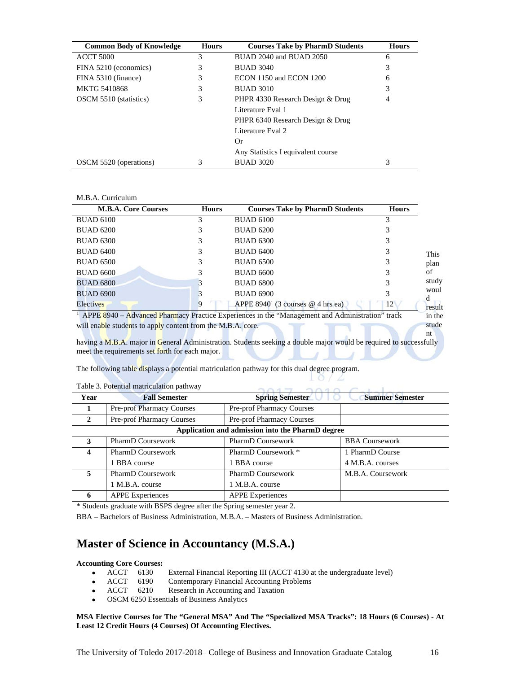| <b>Common Body of Knowledge</b> | <b>Hours</b> | <b>Courses Take by PharmD Students</b> | <b>Hours</b> |
|---------------------------------|--------------|----------------------------------------|--------------|
| <b>ACCT 5000</b>                | 3            | BUAD 2040 and BUAD 2050                | 6            |
| FINA 5210 (economics)           | 3            | <b>BUAD 3040</b>                       | 3            |
| FINA 5310 (finance)             | 3            | ECON 1150 and ECON 1200                | 6            |
| <b>MKTG 5410868</b>             | 3            | <b>BUAD 3010</b>                       | 3            |
| OSCM 5510 (statistics)          | 3            | PHPR 4330 Research Design & Drug<br>4  |              |
|                                 |              | Literature Eval 1                      |              |
|                                 |              | PHPR 6340 Research Design & Drug       |              |
|                                 |              | Literature Eval 2.                     |              |
|                                 |              | Or.                                    |              |
|                                 |              | Any Statistics I equivalent course     |              |
| OSCM 5520 (operations)          |              | <b>BUAD 3020</b>                       | 3            |

#### M.B.A. Curriculum

| <b>M.B.A. Core Courses</b>                                  | <b>Hours</b> | <b>Courses Take by PharmD Students</b>                                                          | <b>Hours</b> |             |
|-------------------------------------------------------------|--------------|-------------------------------------------------------------------------------------------------|--------------|-------------|
| <b>BUAD 6100</b>                                            | 3            | <b>BUAD 6100</b>                                                                                | 3            |             |
| <b>BUAD 6200</b>                                            |              | <b>BUAD 6200</b>                                                                                |              |             |
| <b>BUAD 6300</b>                                            |              | <b>BUAD 6300</b>                                                                                |              |             |
| <b>BUAD 6400</b>                                            |              | <b>BUAD 6400</b>                                                                                |              | <b>This</b> |
| <b>BUAD 6500</b>                                            |              | <b>BUAD 6500</b>                                                                                |              | plan        |
| <b>BUAD 6600</b>                                            |              | <b>BUAD 6600</b>                                                                                |              | of          |
| <b>BUAD 6800</b>                                            |              | <b>BUAD 6800</b>                                                                                |              | study       |
| <b>BUAD 6900</b>                                            |              | <b>BUAD 6900</b>                                                                                | 3            | woul<br>а   |
| Electives                                                   | 9            | APPE 8940 <sup>1</sup> (3 courses $@$ 4 hrs ea)                                                 | 12           | result      |
|                                                             |              | APPE 8940 - Advanced Pharmacy Practice Experiences in the "Management and Administration" track |              | in the      |
| will enable students to apply content from the M.B.A. core. |              |                                                                                                 |              | stude<br>nt |

having a M.B.A. major in General Administration. Students seeking a double major would be required to successfully meet the requirements set forth for each major.

 $\cap$  $\cap$  $\cap$ 

 $10/L$  $\sim$ 

olar.

The following table displays a potential matriculation pathway for this dual degree program.

| Year         | <b>Fall Semester</b>                             | <b>Spring Semester</b>           | <b>Summer Semester</b> |  |  |  |  |
|--------------|--------------------------------------------------|----------------------------------|------------------------|--|--|--|--|
|              | Pre-prof Pharmacy Courses                        | <b>Pre-prof Pharmacy Courses</b> |                        |  |  |  |  |
| $\mathbf{2}$ | Pre-prof Pharmacy Courses                        | Pre-prof Pharmacy Courses        |                        |  |  |  |  |
|              | Application and admission into the PharmD degree |                                  |                        |  |  |  |  |
| 3            | PharmD Coursework                                | PharmD Coursework                | <b>BBA Coursework</b>  |  |  |  |  |
| 4            | <b>PharmD Coursework</b>                         | PharmD Coursework *              | 1 PharmD Course        |  |  |  |  |
|              | 1 BBA course                                     | 1 BBA course                     | 4 M.B.A. courses       |  |  |  |  |
| 5            | <b>PharmD Coursework</b>                         | <b>PharmD</b> Coursework         | M.B.A. Coursework      |  |  |  |  |
|              | 1 M.B.A. course                                  | 1 M.B.A. course                  |                        |  |  |  |  |
| 6            | <b>APPE Experiences</b>                          | <b>APPE Experiences</b>          |                        |  |  |  |  |
|              |                                                  |                                  |                        |  |  |  |  |

Table 3. Potential matriculation pathway

\* Students graduate with BSPS degree after the Spring semester year 2.

BBA – Bachelors of Business Administration, M.B.A. – Masters of Business Administration.

## **Master of Science in Accountancy (M.S.A.)**

# **Accounting Core Courses:**

- ACCT 6130 External Financial Reporting III (ACCT 4130 at the undergraduate level)<br>ACCT 6190 Contemporary Financial Accounting Problems
- ACCT 6190 Contemporary Financial Accounting Problems<br>• ACCT 6210 Research in Accounting and Taxation
- ACCT 6210 Research in Accounting and Taxation
- OSCM 6250 Essentials of Business Analytics

#### **MSA Elective Courses for The "General MSA" And The "Specialized MSA Tracks": 18 Hours (6 Courses) - At Least 12 Credit Hours (4 Courses) Of Accounting Electives.**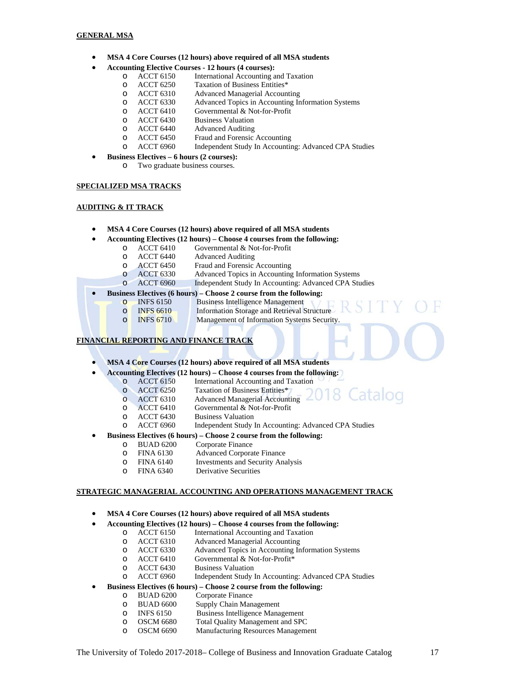- **MSA 4 Core Courses (12 hours) above required of all MSA students**
- **Accounting Elective Courses 12 hours (4 courses):**
	- o ACCT 6150 International Accounting and Taxation
	- o ACCT 6250 Taxation of Business Entities\*
	- o ACCT 6310 Advanced Managerial Accounting
	- o ACCT 6330 Advanced Topics in Accounting Information Systems
	- o ACCT 6410 Governmental & Not-for-Profit
	- o ACCT 6430 Business Valuation
	- o ACCT 6440 Advanced Auditing<br>
	o ACCT 6450 Fraud and Forensic
	- o ACCT 6450 Fraud and Forensic Accounting
	- o ACCT 6960 Independent Study In Accounting: Advanced CPA Studies
- **Business Electives 6 hours (2 courses):**
	- o Two graduate business courses.

#### **SPECIALIZED MSA TRACKS**

#### **AUDITING & IT TRACK**

- **MSA 4 Core Courses (12 hours) above required of all MSA students**
- **Accounting Electives (12 hours) Choose 4 courses from the following:**
	- O ACCT 6410 Governmental & Not-for-Profit<br>
	O ACCT 6440 Advanced Auditing
	- o ACCT 6440 Advanced Auditing<br>
	o ACCT 6450 Fraud and Forensic
	- O ACCT 6450 Fraud and Forensic Accounting<br>
	ACCT 6330 Advanced Topics in Accounting
	- Advanced Topics in Accounting Information Systems
	- o ACCT 6960 Independent Study In Accounting: Advanced CPA Studies

#### **Business Electives (6 hours) – Choose 2 course from the following:**

- o INFS 6150 Business Intelligence Management
- 
- o INFS 6610 Information Storage and Retrieval Structure<br>
INFS 6710 Management of Information Systems Securit o INFS 6710 Management of Information Systems Security.
	-

#### **FINANCIAL REPORTING AND FINANCE TRACK**

- **MSA 4 Core Courses (12 hours) above required of all MSA students**
- **Accounting Electives (12 hours) Choose 4 courses from the following:**
	- o ACCT 6150 International Accounting and Taxation<br>
	o ACCT 6250 Taxation of Business Entities\*
	- o ACCT 6250 Taxation of Business Entities\*
	- o ACCT 6310 Advanced Managerial Accounting
	- o ACCT 6410 Governmental & Not-for-Profit
	- o ACCT 6430 Business Valuation
	- o ACCT 6960 Independent Study In Accounting: Advanced CPA Studies
- **Business Electives (6 hours) Choose 2 course from the following:**<br>  $\circ$  BUAD 6200 Corporate Finance
	- o BUAD 6200 Corporate Finance
	- o FINA 6130 Advanced Corporate Finance
	- o FINA 6140 Investments and Security Analysis
	- o FINA 6340 Derivative Securities

#### **STRATEGIC MANAGERIAL ACCOUNTING AND OPERATIONS MANAGEMENT TRACK**

- **MSA 4 Core Courses (12 hours) above required of all MSA students**
- **Accounting Electives (12 hours) Choose 4 courses from the following:**
	- o ACCT 6150 International Accounting and Taxation<br>
	o ACCT 6310 Advanced Managerial Accounting
	- Advanced Managerial Accounting
	- o ACCT 6330 Advanced Topics in Accounting Information Systems
	- o ACCT 6410 Governmental & Not-for-Profit\*
	- o ACCT 6430 Business Valuation
	- o ACCT 6960 Independent Study In Accounting: Advanced CPA Studies
	- **Business Electives (6 hours) Choose 2 course from the following:**<br>  $\circ$  BUAD 6200 Corporate Finance
		- BUAD 6200 Corporate Finance<br>BUAD 6600 Supply Chain Man
		- o BUAD 6600 Supply Chain Management
		- o INFS 6150 Business Intelligence Management<br>
		o OSCM 6680 Total Ouality Management and SPC
		-
		- o OSCM 6680 Total Quality Management and SPC o OSCM 6690 Manufacturing Resources Management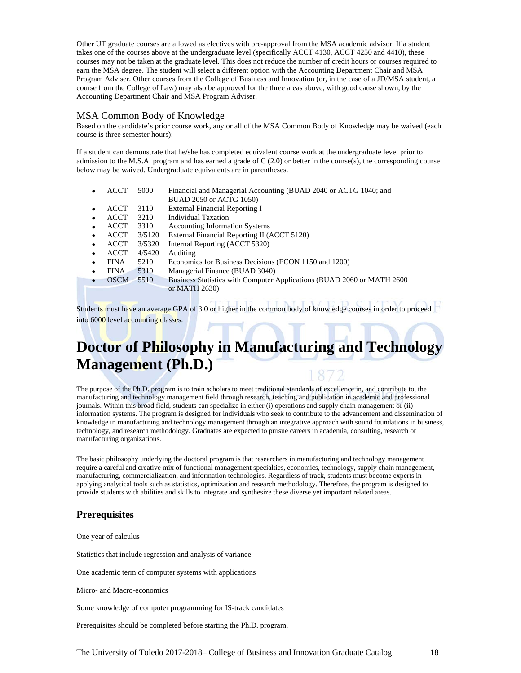Other UT graduate courses are allowed as electives with pre-approval from the MSA academic advisor. If a student takes one of the courses above at the undergraduate level (specifically ACCT 4130, ACCT 4250 and 4410), these courses may not be taken at the graduate level. This does not reduce the number of credit hours or courses required to earn the MSA degree. The student will select a different option with the Accounting Department Chair and MSA Program Adviser. Other courses from the College of Business and Innovation (or, in the case of a JD/MSA student, a course from the College of Law) may also be approved for the three areas above, with good cause shown, by the Accounting Department Chair and MSA Program Adviser.

### MSA Common Body of Knowledge

Based on the candidate's prior course work, any or all of the MSA Common Body of Knowledge may be waived (each course is three semester hours):

If a student can demonstrate that he/she has completed equivalent course work at the undergraduate level prior to admission to the M.S.A. program and has earned a grade of  $C(2.0)$  or better in the course(s), the corresponding course below may be waived. Undergraduate equivalents are in parentheses.

|           | <b>ACCT</b> | 5000   | Financial and Managerial Accounting (BUAD 2040 or ACTG 1040; and        |  |  |
|-----------|-------------|--------|-------------------------------------------------------------------------|--|--|
|           |             |        | BUAD 2050 or ACTG 1050)                                                 |  |  |
| $\bullet$ | ACCT        | 3110   | <b>External Financial Reporting I</b>                                   |  |  |
| $\bullet$ | ACCT        | 3210   | Individual Taxation                                                     |  |  |
| $\bullet$ | <b>ACCT</b> | 3310   | <b>Accounting Information Systems</b>                                   |  |  |
| $\bullet$ | ACCT        | 3/5120 | External Financial Reporting II (ACCT 5120)                             |  |  |
| $\bullet$ | ACCT        | 3/5320 | Internal Reporting (ACCT 5320)                                          |  |  |
| $\bullet$ | <b>ACCT</b> | 4/5420 | Auditing                                                                |  |  |
| $\bullet$ | <b>FINA</b> | 5210   | Economics for Business Decisions (ECON 1150 and 1200)                   |  |  |
| $\bullet$ | <b>FINA</b> | 5310   | Managerial Finance (BUAD 3040)                                          |  |  |
|           | <b>OSCM</b> | 5510   | Business Statistics with Computer Applications (BUAD 2060 or MATH 2600) |  |  |
|           |             |        | or MATH 2630)                                                           |  |  |
|           |             |        |                                                                         |  |  |

Students must have an average GPA of 3.0 or higher in the common body of knowledge courses in order to proceed into 6000 level accounting classes.

# **Doctor of Philosophy in Manufacturing and Technology Management (Ph.D.)**

The purpose of the Ph.D. program is to train scholars to meet traditional standards of excellence in, and contribute to, the manufacturing and technology management field through research, teaching and publication in academic and professional journals. Within this broad field, students can specialize in either (i) operations and supply chain management or (ii) information systems. The program is designed for individuals who seek to contribute to the advancement and dissemination of knowledge in manufacturing and technology management through an integrative approach with sound foundations in business, technology, and research methodology. Graduates are expected to pursue careers in academia, consulting, research or manufacturing organizations.

The basic philosophy underlying the doctoral program is that researchers in manufacturing and technology management require a careful and creative mix of functional management specialties, economics, technology, supply chain management, manufacturing, commercialization, and information technologies. Regardless of track, students must become experts in applying analytical tools such as statistics, optimization and research methodology. Therefore, the program is designed to provide students with abilities and skills to integrate and synthesize these diverse yet important related areas.

## **Prerequisites**

One year of calculus

Statistics that include regression and analysis of variance

One academic term of computer systems with applications

Micro- and Macro-economics

Some knowledge of computer programming for IS-track candidates

Prerequisites should be completed before starting the Ph.D. program.

The University of Toledo 2017-2018– College of Business and Innovation Graduate Catalog 18